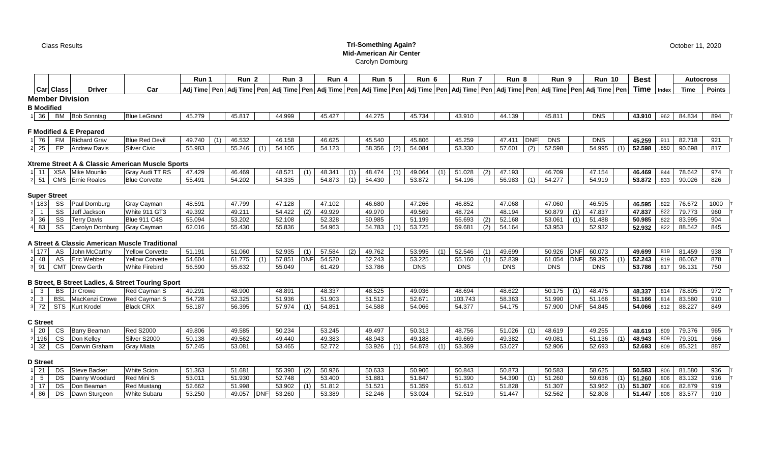#### Class Results **Tri-Something Again? Mid-American Air Center** Carolyn Dornburg

|                        |                  |                    |                     | Run    | Run 2  | Run 3  | Run    | Run 5                                                                                                                                                                                                                      | Run 6  | Run .  | $Run$ 8 | Run 9  |            | <b>Run 10</b> | <b>Best</b> |       | <b>Autocross</b> |               |
|------------------------|------------------|--------------------|---------------------|--------|--------|--------|--------|----------------------------------------------------------------------------------------------------------------------------------------------------------------------------------------------------------------------------|--------|--------|---------|--------|------------|---------------|-------------|-------|------------------|---------------|
|                        | <b>Car Class</b> | <b>Driver</b>      | Car                 |        |        |        |        | Adj Time   Pen   Adj Time   Pen   Adj Time   Pen   Adj Time   Pen   Adj Time   Pen   Adj Time   Pen   Adj Time   Pen   Adj Time   Pen   Adj Time   Pen   Adj Time   Pen   Adj Time   Pen   Adj Time   Pen   Adj Time   Pen |        |        |         |        |            |               | Time        | Index | <b>Time</b>      | <b>Points</b> |
| <b>Member Division</b> |                  |                    |                     |        |        |        |        |                                                                                                                                                                                                                            |        |        |         |        |            |               |             |       |                  |               |
| <b>B</b> Modified      |                  |                    |                     |        |        |        |        |                                                                                                                                                                                                                            |        |        |         |        |            |               |             |       |                  |               |
| $\vert$ 36             | BM               | <b>Bob Sonntag</b> | <b>Blue LeGrand</b> | 45.279 | 45.817 | 44.999 | 45.427 | 44.275                                                                                                                                                                                                                     | 45.734 | 43.910 | 44.139  | 45.811 | <b>DNS</b> |               | 43.910      | .962  | 84.834           | 894           |

### **F Modified & E Prepared**

| 1 76  | <b>FM</b> | Richard Grav        | <b>Blue Red Devil</b> | 49.740 | 46.532 | 46.158 | 10.005<br>46.625 | 45.540 |     | 45.806 | 45.259 | 47.411                                | DNI           | DNS    | <b>DNS</b>           | 45 25Q<br>259 | 011 | 82.718 | ດາາ          |
|-------|-----------|---------------------|-----------------------|--------|--------|--------|------------------|--------|-----|--------|--------|---------------------------------------|---------------|--------|----------------------|---------------|-----|--------|--------------|
| 2 2 5 | <b>CD</b> | <b>Andrew Davis</b> | Silver Civic          | 55.983 | 55.246 | 54.105 | 54.123           | 58.356 | (2) | 34.084 | 53.330 | <b>57 GO1</b><br>$\cdot$ . UU $\cdot$ | $\sim$<br>(2) | 52.598 | 54.995<br>$\sqrt{4}$ | 52.598        |     | 90.698 | $04-$<br>0 L |

# **Xtreme Street A & Classic American Muscle Sports**

| 1 1 1 1 | XSA | Mike Mounlic          | $\sqrt{7}$ TT RS<br><b>Gray Audi</b> |          | 46.469 | 48.521 | (1) | 48.341 | (1) | 48.474 | (4) | 49.064 | (1) | 51.028 | (2) | 47.193 |                                                    | 46.709 | 47.15  | 46.469 | 911  | 78.642 | 974 |  |
|---------|-----|-----------------------|--------------------------------------|----------|--------|--------|-----|--------|-----|--------|-----|--------|-----|--------|-----|--------|----------------------------------------------------|--------|--------|--------|------|--------|-----|--|
|         |     | 2 51 CMS Ernie Roales | <b>Blue Corvette</b>                 | ა5.491 : | 54.202 | 54.335 |     | 54.873 |     | 4.430  |     | 53.872 |     | 54.196 |     | 56.983 | $\left  \right $ $\left  \right $ $\left  \right $ | 54.277 | 54.919 | 53.872 | .833 | 90.026 | 826 |  |

# **Super Street**

| 183 | oo. | <sup>1</sup> Dornburg<br>.        | <b>Gray Cayman</b>     | 48.591 | 47.799 | 7400<br>. 128 |     | 17.102 | 10.000<br>,0.081 |               | 17.000<br>47.ZOO              | 46.852 |        | 47.068 | 47.060 | 46.595  | 46.595 | .822 | 76.672         | 100c |
|-----|-----|-----------------------------------|------------------------|--------|--------|---------------|-----|--------|------------------|---------------|-------------------------------|--------|--------|--------|--------|---------|--------|------|----------------|------|
|     |     | Jeff Jacksor                      | White 911 GT3          | 49.392 | 49.21  | 54.422        | (Z) | 49.929 | 10.07<br>49.97C  |               | $AQ$ 560                      | 48.724 |        | 48.194 | 50.879 | 17 R 27 | 47.837 | 822  | <b>70 77</b> ? | റന   |
| კი  | ၁၁  | Terry Davis                       | ມe 911 C4S<br>Blue 91. | 55.094 | 53.202 | 52.108        |     | 52.328 | ro oor           |               |                               | 55.693 |        | 52.168 | 53.061 |         | 50.985 |      | 83.995         | ററ   |
| 83  | ၁၁  | rolvn Dornbura<br>∪arolv <i>r</i> | Gray Cayman            | 62.016 | 55.430 | 55.836        |     | 54.963 | 54.783           | $\rightarrow$ | $F^{\alpha}$ 70 $F$<br>00.ILU | 59.681 | $\sim$ | 54.164 | 53.953 | 52.932  | 52.932 | 822  | 88.542         | 845  |

# **A Street & Classic American Muscle Traditional**

| .<br>$\frac{1}{2}$ | $\sim$     | John McCarthy      | <b>Yello</b><br>w Corvette | 51.191 | 51.060                     | 52.935                   |            | $-7.584$ | - ن 7.07 | $F^{\wedge}$ $\wedge$<br>ບບ.ບບ | $F^{\alpha}F^{\beta}$    | $\lambda$ | 10.000     | 50.926     | <b>DNFI</b> | 60.073     |                             | 49.699 | 81.459 | 938 |
|--------------------|------------|--------------------|----------------------------|--------|----------------------------|--------------------------|------------|----------|----------|--------------------------------|--------------------------|-----------|------------|------------|-------------|------------|-----------------------------|--------|--------|-----|
| 2 48               |            | <b>Eric Webber</b> | <b>Yelk</b><br>w Corvette  | 54.604 | . . <del>.</del><br>61.775 | 77 OE 4<br><b>100.10</b> | <b>DNF</b> | 54.520   | 52.243   | $\sim$ $\sim$ $\sim$<br>ے۔ ب   | <b>EE 160</b><br>טט. וטע |           | 52.839     | 61.054     | <b>DNF</b>  | 59.395     | $\left( \mathbf{A} \right)$ | 52.243 | 86.062 | 878 |
| 3 91               | <b>CMT</b> | Drew Gerth         | Firebira<br>White          | 56.590 | 55.632                     | 55.045                   |            | 61.429   | 53.786   | <b>DNS</b>                     | <b>DNS</b>               |           | <b>DNS</b> | <b>DNS</b> |             | <b>DNS</b> |                             | 53.786 | 96.131 | 750 |

# **B Street, B Street Ladies, & Street Touring Sport**

|                | D.C.<br>BS. | 'r Crowe       | Red Cayman S     | 49.291 | 48,900           | 48.891                    | 48.337              | 48.525 | 49.036 | 48.694        | 48.622                 | 50.175<br>(1) | 48.337<br>48 A7  | 044<br>.014 | 78.805 | ດ7າ<br>91 Z |
|----------------|-------------|----------------|------------------|--------|------------------|---------------------------|---------------------|--------|--------|---------------|------------------------|---------------|------------------|-------------|--------|-------------|
|                | <b>BSL</b>  | MacKenzi Crowe | Red Cayman S     | 54.728 | ےں. ےں           | 51.936<br>ບ ⊥.ວບບ         | 51.903              | 51.512 | 52.671 | 103.743       | <b>58363</b><br>ວ໐.ວ໐ວ | 51.990        | 51.166<br>51.166 | .814        | 83.580 | 910         |
| $\overline{z}$ | <b>STS</b>  | urt Krode'     | <b>Black CRX</b> | 58.187 | 56.205<br>ັບບ.ບປ | 57 974<br><b>.</b> ت. ا ب | 54.851<br>$\lambda$ | 54.588 | 54.066 | <b>54.377</b> | F A A T F<br>.1/5      | 57,900        | 54.066<br>54.845 | .812        | 88.227 | 849         |

#### **C Street**

| 20              | $\sim$<br>◡◡  | - Barry Beaman        | <b>Red S2000</b>  | 49.806 | 40 ESE | <b>50 234</b><br>۰ے . ں                         | 53.245 | 49.497 | 50.313 | 48.756 | 51.026 | $\lambda$ | 48.619 | 49.255 | 48.619 | -809 | 79.376 | <b>QRI</b> |
|-----------------|---------------|-----------------------|-------------------|--------|--------|-------------------------------------------------|--------|--------|--------|--------|--------|-----------|--------|--------|--------|------|--------|------------|
| 196             | $\sim$<br>ັບວ | Don Kelley            | Silver S2000      | 50.138 | 49.562 | $\Lambda$ $\Omega$ $\Lambda$ $\Lambda$ $\Omega$ | 49.383 | 48.943 | 49.188 | 49.669 | 49.382 |           | 49.081 | 51 136 | 48.943 | ാറവ  | 79.301 | ରନ         |
| 32 <sup>1</sup> | $\sim$<br>ັບບ | <b>IDarwin Graham</b> | <b>Gray Miata</b> | 57.245 | 53.081 | 53.465                                          | 52.772 | 53.926 | 54.878 | 53.369 | 53.027 |           | 52.906 | 52.693 | 52.693 | .809 | 85.321 | ົດດ⊐<br>റ  |

### **D Street**

|    | DS        | Steve Backer    | <b>White Scion</b>  | 51.363 |       | 55.390                         | 50.926           | 50.633                   | 50.906             | 50.843 | 50.873             | 50.583 | 58.625 | 50.583 | 81 580 | റാല |
|----|-----------|-----------------|---------------------|--------|-------|--------------------------------|------------------|--------------------------|--------------------|--------|--------------------|--------|--------|--------|--------|-----|
|    | <b>DS</b> | Danny Woodard   | Red Mini S          | 53.011 |       | 52.748                         | EQ AOO<br>33.400 | <b>FA 00.</b><br>၁ ၊ .oo | 51.847             | 51.390 | 54.390             | 1.260  | 59.636 | 51.260 | 83.132 | 916 |
|    | DS.       | Don Beaman      | ed Mustanr          | 52.662 |       | <b>EQ OO</b>                   | 51.812           | 51.521                   | 51 350<br>ວ ၊ .ວວະ | 51.612 | 51.828             | 51.307 | 53.962 | 51.307 | 82.879 | 919 |
| 86 | DS        | I Dawn Sturgeon | <b>White Subaru</b> | 53.250 | 49.05 | ro oco<br><b>DNF</b><br>33.ZDU | 53.389           | 52.246                   | 53.024             | 52.519 | F A A A T<br>91.44 | 52.562 | 52.808 | 51.447 | 83577  | 910 |

October 11, 2020